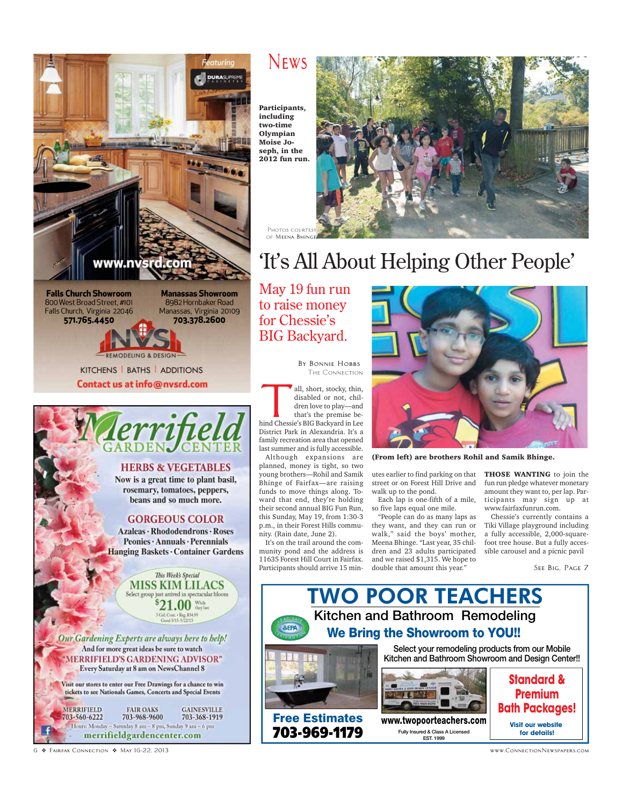

**Falls Church Showroom** 800 West Broad Street, #101 Falls Church, Virginia 22046 571.765.4450

**Manassas Showroom** 8982 Hornbaker Road Manassas, Virginia 20109 703.378.2600

KITCHENS | BATHS | ADDITIONS Contact us at info@nvsrd.com



Now is a great time to plant basil, rosemary, tomatoes, peppers, beans and so much more.

#### **GORGEOUS COLOR**

Azaleas · Rhododendrons · Roses Peonies · Annuals · Perennials Hanging Baskets · Container Gardens

> This Week's Special **MISS KIM LILACS** Select group just arrived in spectacular bloom .00 While 3 Gal. Cont. - Reg. \$34.99<br>Good 5/15-5/22/13

Our Gardening Experts are always here to help! And for more great ideas be sure to watch **MERRIFIELD'S GARDENING ADVISOR"** Every Saturday at 8 am on NewsChannel 8

Visit our stores to enter our Free Drawings for a chance to win tickets to see Nationals Games, Concerts and Special Events **MERRIFIELD FAIR OAKS GAINESVILLE** 703-560-6222 703-968-9600 703-368-1919

Hours: Monday - Saturday 8 am - 8 pm, Sunday 9 am - 6 pm merrifieldgardencenter.com

### **News**

Participants, including two-time Olympian Moise Joseph, in the 2012 fun run.



# 'It's All About Helping Other People'

May 19 fun run to raise money for Chessie's BIG Backyard.

> **By Bonnie Hobbs** The Connection

THE CONNECTION<br>all, short, stocky, thin,<br>disabled or not, chil-<br>dren love to play—and<br>that's the premise bedisabled or not, children love to play—and that's the premise behind Chessie's BIG Backyard in Lee District Park in Alexandria. It's a family recreation area that opened last summer and is fully accessible.

Although expansions are planned, money is tight, so two young brothers—Rohil and Samik Bhinge of Fairfax—are raising funds to move things along. Toward that end, they're holding their second annual BIG Fun Run, this Sunday, May 19, from 1:30-3 p.m., in their Forest Hills community. (Rain date, June 2).

It's on the trail around the community pond and the address is 11635 Forest Hill Court in Fairfax. Participants should arrive 15 min-



(From left) are brothers Rohil and Samik Bhinge.

utes earlier to find parking on that street or on Forest Hill Drive and walk up to the pond.

Each lap is one-fifth of a mile, so five laps equal one mile.

"People can do as many laps as they want, and they can run or walk," said the boys' mother, Meena Bhinge. "Last year, 35 children and 23 adults participated and we raised \$1,315. We hope to double that amount this year."

THOSE WANTING to join the fun run pledge whatever monetary amount they want to, per lap. Participants may sign up at www.fairfaxfunrun.com.

Chessie's currently contains a Tiki Village playground including a fully accessible, 2,000-squarefoot tree house. But a fully accessible carousel and a picnic pavil

**See Big, Page 7**